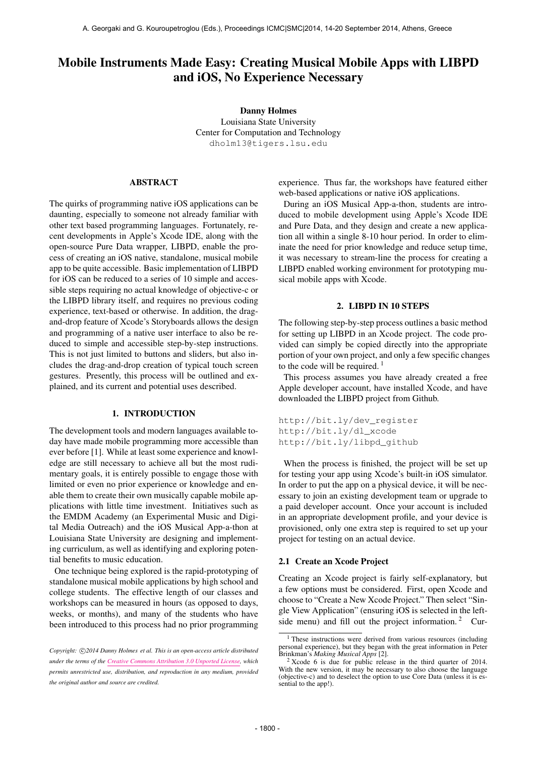# Mobile Instruments Made Easy: Creating Musical Mobile Apps with LIBPD and iOS, No Experience Necessary

Danny Holmes Louisiana State University Center for Computation and Technology [dholm13@tigers.lsu.edu](mailto:dholm13@tigers.lsu.edu)

# ABSTRACT

The quirks of programming native iOS applications can be daunting, especially to someone not already familiar with other text based programming languages. Fortunately, recent developments in Apple's Xcode IDE, along with the open-source Pure Data wrapper, LIBPD, enable the process of creating an iOS native, standalone, musical mobile app to be quite accessible. Basic implementation of LIBPD for iOS can be reduced to a series of 10 simple and accessible steps requiring no actual knowledge of objective-c or the LIBPD library itself, and requires no previous coding experience, text-based or otherwise. In addition, the dragand-drop feature of Xcode's Storyboards allows the design and programming of a native user interface to also be reduced to simple and accessible step-by-step instructions. This is not just limited to buttons and sliders, but also includes the drag-and-drop creation of typical touch screen gestures. Presently, this process will be outlined and explained, and its current and potential uses described.

## 1. INTRODUCTION

The development tools and modern languages available today have made mobile programming more accessible than ever before [1]. While at least some experience and knowledge are still necessary to achieve all but the most rudimentary goals, it is entirely possible to engage those with limited or even no prior experience or knowledge and enable them to create their own musically capable mobile applications with little time investment. Initiatives such as the EMDM Academy (an Experimental Music and Digital Media Outreach) and the iOS Musical App-a-thon at Louisiana State University are designing and implementing curriculum, as well as identifying and exploring potential benefits to music education.

One technique being explored is the rapid-prototyping of standalone musical mobile applications by high school and college students. The effective length of our classes and workshops can be measured in hours (as opposed to days, weeks, or months), and many of the students who have been introduced to this process had no prior programming

experience. Thus far, the workshops have featured either web-based applications or native iOS applications.

During an iOS Musical App-a-thon, students are introduced to mobile development using Apple's Xcode IDE and Pure Data, and they design and create a new application all within a single 8-10 hour period. In order to eliminate the need for prior knowledge and reduce setup time, it was necessary to stream-line the process for creating a LIBPD enabled working environment for prototyping musical mobile apps with Xcode.

## 2. LIBPD IN 10 STEPS

The following step-by-step process outlines a basic method for setting up LIBPD in an Xcode project. The code provided can simply be copied directly into the appropriate portion of your own project, and only a few specific changes to the code will be required.  $\frac{1}{1}$ 

This process assumes you have already created a free Apple developer account, have installed Xcode, and have downloaded the LIBPD project from Github.

[http://bit.ly/dev\\_register](http://bit.ly/dev_register) [http://bit.ly/dl\\_xcode](http://bit.ly/dl_xcode) [http://bit.ly/libpd\\_github](http://bit.ly/libpd_github)

When the process is finished, the project will be set up for testing your app using Xcode's built-in iOS simulator. In order to put the app on a physical device, it will be necessary to join an existing development team or upgrade to a paid developer account. Once your account is included in an appropriate development profile, and your device is provisioned, only one extra step is required to set up your project for testing on an actual device.

#### 2.1 Create an Xcode Project

Creating an Xcode project is fairly self-explanatory, but a few options must be considered. First, open Xcode and choose to "Create a New Xcode Project." Then select "Single View Application" (ensuring iOS is selected in the leftside menu) and fill out the project information.<sup>2</sup> Cur-

Copyright:  $\bigcirc$ 2014 Danny Holmes et al. This is an open-access article distributed *under the terms of the [Creative Commons Attribution 3.0 Unported License,](http://creativecommons.org/licenses/by/3.0/) which permits unrestricted use, distribution, and reproduction in any medium, provided the original author and source are credited.*

<sup>&</sup>lt;sup>1</sup> These instructions were derived from various resources (including personal experience), but they began with the great information in Peter Brinkman's *Making Musical Apps* [2].

 $2^2$  Xcode 6 is due for public release in the third quarter of 2014. With the new version, it may be necessary to also choose the language (objective-c) and to deselect the option to use Core Data (unless it is essential to the app!).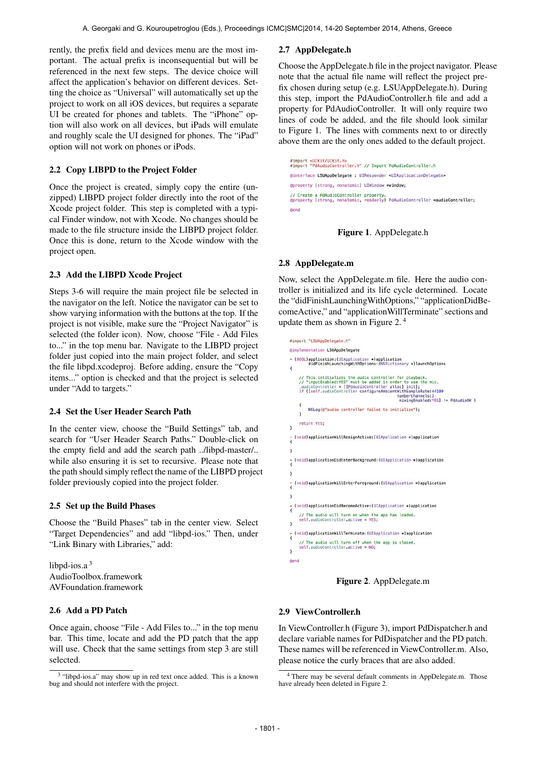rently, the prefix field and devices menu are the most important. The actual prefix is inconsequential but will be referenced in the next few steps. The device choice will affect the application's behavior on different devices. Setting the choice as "Universal" will automatically set up the project to work on all iOS devices, but requires a separate UI be created for phones and tablets. The "iPhone" option will also work on all devices, but iPads will emulate and roughly scale the UI designed for phones. The "iPad" option will not work on phones or iPods.

## 2.2 Copy LIBPD to the Project Folder

Once the project is created, simply copy the entire (unzipped) LIBPD project folder directly into the root of the Xcode project folder. This step is completed with a typical Finder window, not with Xcode. No changes should be made to the file structure inside the LIBPD project folder. Once this is done, return to the Xcode window with the project open.

## 2.3 Add the LIBPD Xcode Project

Steps 3-6 will require the main project file be selected in the navigator on the left. Notice the navigator can be set to show varying information with the buttons at the top. If the project is not visible, make sure the "Project Navigator" is selected (the folder icon). Now, choose "File - Add Files to..." in the top menu bar. Navigate to the LIBPD project folder just copied into the main project folder, and select the file libpd.xcodeproj. Before adding, ensure the "Copy items..." option is checked and that the project is selected under "Add to targets."

## 2.4 Set the User Header Search Path

In the center view, choose the "Build Settings" tab, and search for "User Header Search Paths." Double-click on the empty field and add the search path ../libpd-master/.. while also ensuring it is set to recursive. Please note that the path should simply reflect the name of the LIBPD project folder previously copied into the project folder.

#### 2.5 Set up the Build Phases

Choose the "Build Phases" tab in the center view. Select "Target Dependencies" and add "libpd-ios." Then, under "Link Binary with Libraries," add:

libpd-ios. $a<sup>3</sup>$ AudioToolbox.framework AVFoundation.framework

## 2.6 Add a PD Patch

Once again, choose "File - Add Files to..." in the top menu bar. This time, locate and add the PD patch that the app will use. Check that the same settings from step 3 are still selected.

## 2.7 AppDelegate.h

Choose the AppDelegate.h file in the project navigator. Please note that the actual file name will reflect the project prefix chosen during setup (e.g. LSUAppDelegate.h). During this step, import the PdAudioController.h file and add a property for PdAudioController. It will only require two lines of code be added, and the file should look similar to Figure 1. The lines with comments next to or directly above them are the only ones added to the default project.

#import <UIKit/UIKit.h><br>#import "PdAudioController.h" // Import PdAudioController.h @interface LSUAppDelegate : UIResponder <UIApplicationDelegate> @property (strong, nonatomic) UIWindow \*window; // Create a PdAudioController property.<br>@property (strong, nonatomic, readonly) PdAudioController \*audioController; **Gend** 

## Figure 1. AppDelegate.h

#### 2.8 AppDelegate.m

Now, select the AppDelegate.m file. Here the audio controller is initialized and its life cycle determined. Locate the "didFinishLaunchingWithOptions," "applicationDidBecomeActive," and "applicationWillTerminate" sections and update them as shown in Figure 2. 4

```
#import "LSUAppDelegate.h"
Simplementation LSUAppDelegate
- (BOOL)application: (UIApplication *)application<br>didFinishLaunchingWithOptions: (NSDictionary *)launchOptions
\overline{A}%// This intitializes the audio controller for playback.<br>
// "imputEnabled:YES" must be added in order to use the mic.<br>
_audioController = [[PdAudioController alloc] init];<br>
if ([self.audioController configureAmbientWihSam
      // This intitializes the audio controller for playback.<br>// "inputEnabled:YES" must be added in order to use the mic.
           NSLog(@"audio controller failed to initialize");
     return YES;
   (void)applicationWillResignActive: (UIApplication *)application
\mathbf{1}(void)applicationDidEnterBackground: (UIApplication *)application
\mathbf{1}(void)applicationWillEnterForeground: (UIApplication *)application
\mathbf{r}- (void)applicationDidBecomeActive: (UIApplication *)application
      // The audio will turn on when the app has loaded.<br>self.audioController.active = YES;
- (void)applicationWillTerminate: (UIApplication ∗)application
      // The audio will turn off when the app is closed.<br>self.audioController.active = NO;
\mathbf{1}@end
```
Figure 2. AppDelegate.m

#### 2.9 ViewController.h

In ViewController.h (Figure 3), import PdDispatcher.h and declare variable names for PdDispatcher and the PD patch. These names will be referenced in ViewController.m. Also, please notice the curly braces that are also added.

<sup>&</sup>lt;sup>3</sup> "libpd-ios.a" may show up in red text once added. This is a known bug and should not interfere with the project.

<sup>4</sup> There may be several default comments in AppDelegate.m. Those have already been deleted in Figure 2.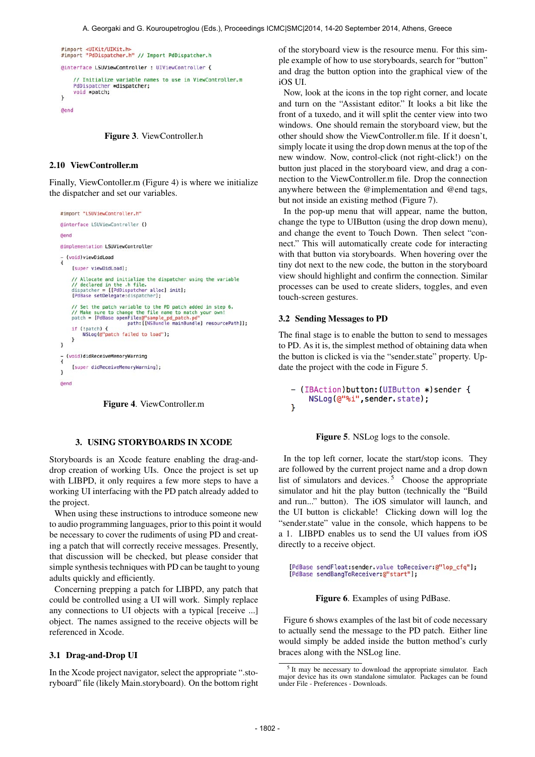```
#import <UIKit/UIKit.h><br>#import "PdDispatcher.h" // Import PdDispatcher.h
@interface ISUViewController : UTViewController {
     // Initialize variable names to use in ViewController.m
     PdDispatcher *dispatcher;
     void *patch;
\overline{\mathbf{1}}Gend
```
Figure 3. ViewController.h

#### 2.10 ViewController.m

Finally, ViewContoller.m (Figure 4) is where we initialize the dispatcher and set our variables.

```
#import "LSUViewController.h"
@interface LSUViewController ()
dend
@implementation LSUViewController
{<br>tvoid)viewDidLoad
       [super viewDidLoad];
       // Allocate and initialize the dispatcher using the variable<br>// declared in the .h file.<br>dispatcher = [[PdDispatcher alloc] init];<br>[PdBase setDelegate:dispatcher];
       // Set the patch variable to the PD patch added in step 6.<br>// Make sure to change the file name to match your own!<br>patch = [PdBase openFile:@"sample_pd_patch.pd"<br>path:[NSBundle mainBundle] resourcePath]];
       if (!patch) \{NSLoo(@"patch failed to load"):
       \overline{\mathbf{r}}\alpha(void)didReceiveMemoryWarning
        [super didReceiveMemoryWarning];
\lambdadend
```


## 3. USING STORYBOARDS IN XCODE

Storyboards is an Xcode feature enabling the drag-anddrop creation of working UIs. Once the project is set up with LIBPD, it only requires a few more steps to have a working UI interfacing with the PD patch already added to the project.

When using these instructions to introduce someone new to audio programming languages, prior to this point it would be necessary to cover the rudiments of using PD and creating a patch that will correctly receive messages. Presently, that discussion will be checked, but please consider that simple synthesis techniques with PD can be taught to young adults quickly and efficiently.

Concerning prepping a patch for LIBPD, any patch that could be controlled using a UI will work. Simply replace any connections to UI objects with a typical [receive ...] object. The names assigned to the receive objects will be referenced in Xcode.

#### 3.1 Drag-and-Drop UI

In the Xcode project navigator, select the appropriate ".storyboard" file (likely Main.storyboard). On the bottom right of the storyboard view is the resource menu. For this simple example of how to use storyboards, search for "button" and drag the button option into the graphical view of the iOS UI.

Now, look at the icons in the top right corner, and locate and turn on the "Assistant editor." It looks a bit like the front of a tuxedo, and it will split the center view into two windows. One should remain the storyboard view, but the other should show the ViewController.m file. If it doesn't, simply locate it using the drop down menus at the top of the new window. Now, control-click (not right-click!) on the button just placed in the storyboard view, and drag a connection to the ViewController.m file. Drop the connection anywhere between the @implementation and @end tags, but not inside an existing method (Figure 7).

In the pop-up menu that will appear, name the button, change the type to UIButton (using the drop down menu), and change the event to Touch Down. Then select "connect." This will automatically create code for interacting with that button via storyboards. When hovering over the tiny dot next to the new code, the button in the storyboard view should highlight and confirm the connection. Similar processes can be used to create sliders, toggles, and even touch-screen gestures.

## 3.2 Sending Messages to PD

The final stage is to enable the button to send to messages to PD. As it is, the simplest method of obtaining data when the button is clicked is via the "sender.state" property. Update the project with the code in Figure 5.

```
- (IBAction)button: (UIButton *) sender {
    NSLog(@"%i", sender state);
\mathcal{F}
```
#### Figure 5. NSLog logs to the console.

In the top left corner, locate the start/stop icons. They are followed by the current project name and a drop down list of simulators and devices.<sup>5</sup> Choose the appropriate simulator and hit the play button (technically the "Build and run..." button). The iOS simulator will launch, and the UI button is clickable! Clicking down will log the "sender.state" value in the console, which happens to be a 1. LIBPD enables us to send the UI values from iOS directly to a receive object.

[PdBase sendFloat:sender.value toReceiver:@"lop\_cfq"]; [PdBase sendBangToReceiver:@"start"];

## Figure 6. Examples of using PdBase.

Figure 6 shows examples of the last bit of code necessary to actually send the message to the PD patch. Either line would simply be added inside the button method's curly braces along with the NSLog line.

<sup>5</sup> It may be necessary to download the appropriate simulator. Each major device has its own standalone simulator. Packages can be found under File - Preferences - Downloads.